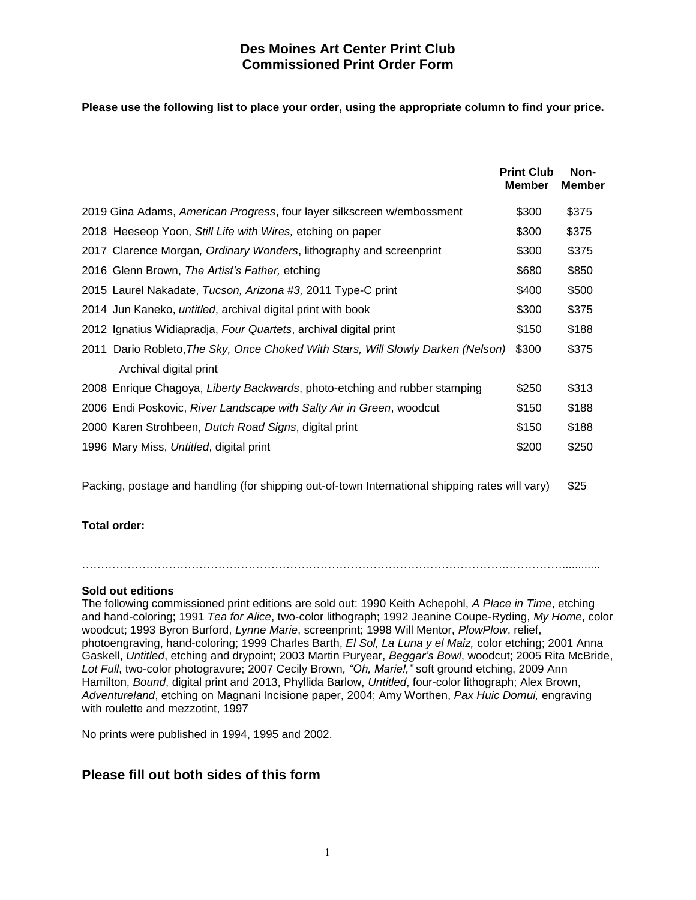## **Des Moines Art Center Print Club Commissioned Print Order Form**

**Please use the following list to place your order, using the appropriate column to find your price.**

|                                                                                  | <b>Print Club</b><br><b>Member</b> | Non-<br><b>Member</b> |
|----------------------------------------------------------------------------------|------------------------------------|-----------------------|
| 2019 Gina Adams, American Progress, four layer silkscreen w/embossment           | \$300                              | \$375                 |
| 2018 Heeseop Yoon, Still Life with Wires, etching on paper                       | \$300                              | \$375                 |
| 2017 Clarence Morgan, Ordinary Wonders, lithography and screenprint              | \$300                              | \$375                 |
| 2016 Glenn Brown, The Artist's Father, etching                                   | \$680                              | \$850                 |
| 2015 Laurel Nakadate, Tucson, Arizona #3, 2011 Type-C print                      | \$400                              | \$500                 |
| 2014 Jun Kaneko, <i>untitled</i> , archival digital print with book              | \$300                              | \$375                 |
| 2012 Ignatius Widiapradja, Four Quartets, archival digital print                 | \$150                              | \$188                 |
| 2011 Dario Robleto, The Sky, Once Choked With Stars, Will Slowly Darken (Nelson) | \$300                              | \$375                 |
| Archival digital print                                                           |                                    |                       |
| 2008 Enrique Chagoya, Liberty Backwards, photo-etching and rubber stamping       | \$250                              | \$313                 |
| 2006 Endi Poskovic, River Landscape with Salty Air in Green, woodcut             | \$150                              | \$188                 |
| 2000 Karen Strohbeen, Dutch Road Signs, digital print                            | \$150                              | \$188                 |
| 1996 Mary Miss, Untitled, digital print                                          | \$200                              | \$250                 |
|                                                                                  |                                    |                       |

Packing, postage and handling (for shipping out-of-town International shipping rates will vary) \$25

#### **Total order:**

………………………………………………………………………………………………….……………............

#### **Sold out editions**

The following commissioned print editions are sold out: 1990 Keith Achepohl, *A Place in Time*, etching and hand-coloring; 1991 *Tea for Alice*, two-color lithograph; 1992 Jeanine Coupe-Ryding, *My Home*, color woodcut; 1993 Byron Burford, *Lynne Marie*, screenprint; 1998 Will Mentor, *PlowPlow*, relief, photoengraving, hand-coloring; 1999 Charles Barth, *El Sol, La Luna y el Maiz,* color etching; 2001 Anna Gaskell, *Untitled*, etching and drypoint; 2003 Martin Puryear, *Beggar's Bowl*, woodcut; 2005 Rita McBride, *Lot Full*, two-color photogravure; 2007 Cecily Brown*, "Oh, Marie!,"* soft ground etching, 2009 Ann Hamilton, *Bound*, digital print and 2013, Phyllida Barlow, *Untitled*, four-color lithograph; Alex Brown, *Adventureland*, etching on Magnani Incisione paper, 2004; Amy Worthen, *Pax Huic Domui,* engraving with roulette and mezzotint, 1997

No prints were published in 1994, 1995 and 2002.

# **Please fill out both sides of this form**